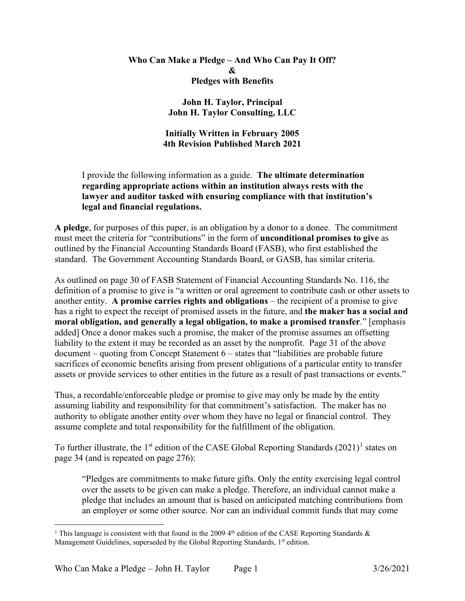## **Who Can Make a Pledge – And Who Can Pay It Off? & Pledges with Benefits**

## **John H. Taylor, Principal John H. Taylor Consulting, LLC**

# **Initially Written in February 2005 4th Revision Published March 2021**

# I provide the following information as a guide. **The ultimate determination regarding appropriate actions within an institution always rests with the lawyer and auditor tasked with ensuring compliance with that institution's legal and financial regulations.**

**A pledge**, for purposes of this paper, is an obligation by a donor to a donee. The commitment must meet the criteria for "contributions" in the form of **unconditional promises to give** as outlined by the Financial Accounting Standards Board (FASB), who first established the standard. The Government Accounting Standards Board, or GASB, has similar criteria.

As outlined on page 30 of FASB Statement of Financial Accounting Standards No. 116, the definition of a promise to give is "a written or oral agreement to contribute cash or other assets to another entity. **A promise carries rights and obligations** – the recipient of a promise to give has a right to expect the receipt of promised assets in the future, and **the maker has a social and moral obligation, and generally a legal obligation, to make a promised transfer**." [emphasis added] Once a donor makes such a promise, the maker of the promise assumes an offsetting liability to the extent it may be recorded as an asset by the nonprofit. Page 31 of the above document – quoting from Concept Statement 6 – states that "liabilities are probable future sacrifices of economic benefits arising from present obligations of a particular entity to transfer assets or provide services to other entities in the future as a result of past transactions or events."

Thus, a recordable/enforceable pledge or promise to give may only be made by the entity assuming liability and responsibility for that commitment's satisfaction. The maker has no authority to obligate another entity over whom they have no legal or financial control. They assume complete and total responsibility for the fulfillment of the obligation.

To further illustrate, the [1](#page-0-0)<sup>st</sup> edition of the CASE Global Reporting Standards  $(2021)^1$  states on page 34 (and is repeated on page 276):

"Pledges are commitments to make future gifts. Only the entity exercising legal control over the assets to be given can make a pledge. Therefore, an individual cannot make a pledge that includes an amount that is based on anticipated matching contributions from an employer or some other source. Nor can an individual commit funds that may come

<span id="page-0-0"></span><sup>&</sup>lt;sup>1</sup> This language is consistent with that found in the 2009 4<sup>th</sup> edition of the CASE Reporting Standards & Management Guidelines, superseded by the Global Reporting Standards, 1st edition.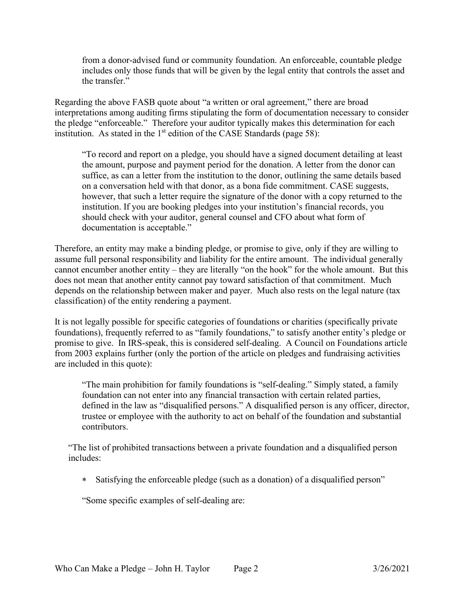from a donor-advised fund or community foundation. An enforceable, countable pledge includes only those funds that will be given by the legal entity that controls the asset and the transfer."

Regarding the above FASB quote about "a written or oral agreement," there are broad interpretations among auditing firms stipulating the form of documentation necessary to consider the pledge "enforceable." Therefore your auditor typically makes this determination for each institution. As stated in the  $1<sup>st</sup>$  edition of the CASE Standards (page 58):

"To record and report on a pledge, you should have a signed document detailing at least the amount, purpose and payment period for the donation. A letter from the donor can suffice, as can a letter from the institution to the donor, outlining the same details based on a conversation held with that donor, as a bona fide commitment. CASE suggests, however, that such a letter require the signature of the donor with a copy returned to the institution. If you are booking pledges into your institution's financial records, you should check with your auditor, general counsel and CFO about what form of documentation is acceptable."

Therefore, an entity may make a binding pledge, or promise to give, only if they are willing to assume full personal responsibility and liability for the entire amount. The individual generally cannot encumber another entity – they are literally "on the hook" for the whole amount. But this does not mean that another entity cannot pay toward satisfaction of that commitment. Much depends on the relationship between maker and payer. Much also rests on the legal nature (tax classification) of the entity rendering a payment.

It is not legally possible for specific categories of foundations or charities (specifically private foundations), frequently referred to as "family foundations," to satisfy another entity's pledge or promise to give. In IRS-speak, this is considered self-dealing. A Council on Foundations article from 2003 explains further (only the portion of the article on pledges and fundraising activities are included in this quote):

"The main prohibition for family foundations is "self-dealing." Simply stated, a family foundation can not enter into any financial transaction with certain related parties, defined in the law as "disqualified persons." A disqualified person is any officer, director, trustee or employee with the authority to act on behalf of the foundation and substantial contributors.

"The list of prohibited transactions between a private foundation and a disqualified person includes:

∗ Satisfying the enforceable pledge (such as a donation) of a disqualified person"

"Some specific examples of self-dealing are: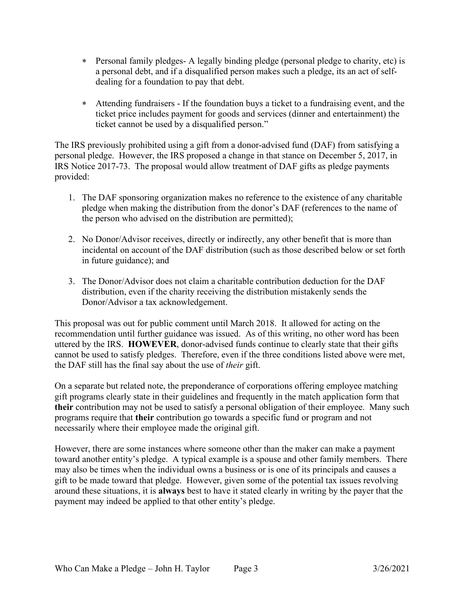- ∗ Personal family pledges- A legally binding pledge (personal pledge to charity, etc) is a personal debt, and if a disqualified person makes such a pledge, its an act of selfdealing for a foundation to pay that debt.
- ∗ Attending fundraisers If the foundation buys a ticket to a fundraising event, and the ticket price includes payment for goods and services (dinner and entertainment) the ticket cannot be used by a disqualified person."

The IRS previously prohibited using a gift from a donor-advised fund (DAF) from satisfying a personal pledge. However, the IRS proposed a change in that stance on December 5, 2017, in IRS Notice 2017-73. The proposal would allow treatment of DAF gifts as pledge payments provided:

- 1. The DAF sponsoring organization makes no reference to the existence of any charitable pledge when making the distribution from the donor's DAF (references to the name of the person who advised on the distribution are permitted);
- 2. No Donor/Advisor receives, directly or indirectly, any other benefit that is more than incidental on account of the DAF distribution (such as those described below or set forth in future guidance); and
- 3. The Donor/Advisor does not claim a charitable contribution deduction for the DAF distribution, even if the charity receiving the distribution mistakenly sends the Donor/Advisor a tax acknowledgement.

This proposal was out for public comment until March 2018. It allowed for acting on the recommendation until further guidance was issued. As of this writing, no other word has been uttered by the IRS. **HOWEVER**, donor-advised funds continue to clearly state that their gifts cannot be used to satisfy pledges. Therefore, even if the three conditions listed above were met, the DAF still has the final say about the use of *their* gift.

On a separate but related note, the preponderance of corporations offering employee matching gift programs clearly state in their guidelines and frequently in the match application form that **their** contribution may not be used to satisfy a personal obligation of their employee. Many such programs require that **their** contribution go towards a specific fund or program and not necessarily where their employee made the original gift.

However, there are some instances where someone other than the maker can make a payment toward another entity's pledge. A typical example is a spouse and other family members. There may also be times when the individual owns a business or is one of its principals and causes a gift to be made toward that pledge. However, given some of the potential tax issues revolving around these situations, it is **always** best to have it stated clearly in writing by the payer that the payment may indeed be applied to that other entity's pledge.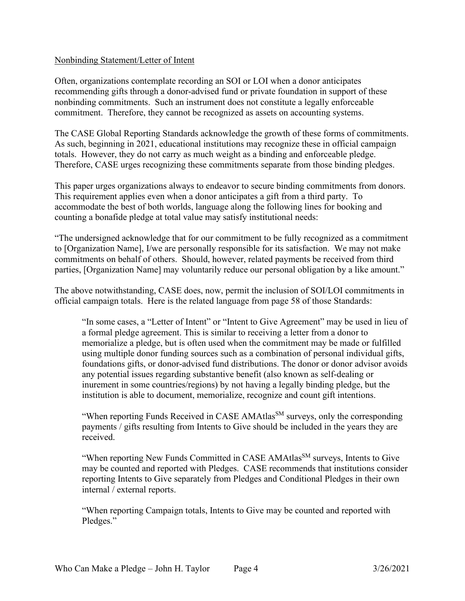#### Nonbinding Statement/Letter of Intent

Often, organizations contemplate recording an SOI or LOI when a donor anticipates recommending gifts through a donor-advised fund or private foundation in support of these nonbinding commitments. Such an instrument does not constitute a legally enforceable commitment. Therefore, they cannot be recognized as assets on accounting systems.

The CASE Global Reporting Standards acknowledge the growth of these forms of commitments. As such, beginning in 2021, educational institutions may recognize these in official campaign totals. However, they do not carry as much weight as a binding and enforceable pledge. Therefore, CASE urges recognizing these commitments separate from those binding pledges.

This paper urges organizations always to endeavor to secure binding commitments from donors. This requirement applies even when a donor anticipates a gift from a third party. To accommodate the best of both worlds, language along the following lines for booking and counting a bonafide pledge at total value may satisfy institutional needs:

"The undersigned acknowledge that for our commitment to be fully recognized as a commitment to [Organization Name], I/we are personally responsible for its satisfaction. We may not make commitments on behalf of others. Should, however, related payments be received from third parties, [Organization Name] may voluntarily reduce our personal obligation by a like amount."

The above notwithstanding, CASE does, now, permit the inclusion of SOI/LOI commitments in official campaign totals. Here is the related language from page 58 of those Standards:

"In some cases, a "Letter of Intent" or "Intent to Give Agreement" may be used in lieu of a formal pledge agreement. This is similar to receiving a letter from a donor to memorialize a pledge, but is often used when the commitment may be made or fulfilled using multiple donor funding sources such as a combination of personal individual gifts, foundations gifts, or donor-advised fund distributions. The donor or donor advisor avoids any potential issues regarding substantive benefit (also known as self-dealing or inurement in some countries/regions) by not having a legally binding pledge, but the institution is able to document, memorialize, recognize and count gift intentions.

"When reporting Funds Received in CASE AMAtlas<sup>SM</sup> surveys, only the corresponding payments / gifts resulting from Intents to Give should be included in the years they are received.

"When reporting New Funds Committed in CASE AMAtlas<sup>SM</sup> surveys, Intents to Give may be counted and reported with Pledges. CASE recommends that institutions consider reporting Intents to Give separately from Pledges and Conditional Pledges in their own internal / external reports.

"When reporting Campaign totals, Intents to Give may be counted and reported with Pledges."